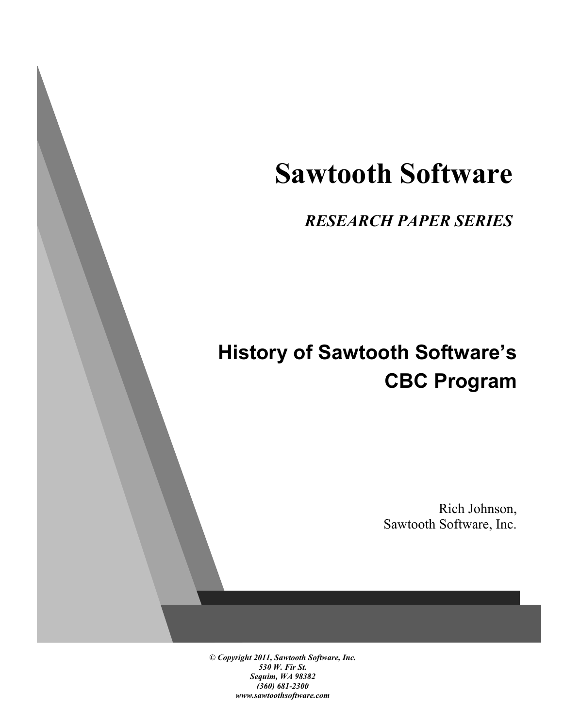# **Sawtooth Software**

*RESEARCH PAPER SERIES*

# **History of Sawtooth Software's CBC Program**

Rich Johnson, Sawtooth Software, Inc.

*© Copyright 2011, Sawtooth Software, Inc. 530 W. Fir St. Sequim, WA 98382 (360) 681-2300 www.sawtoothsoftware.com*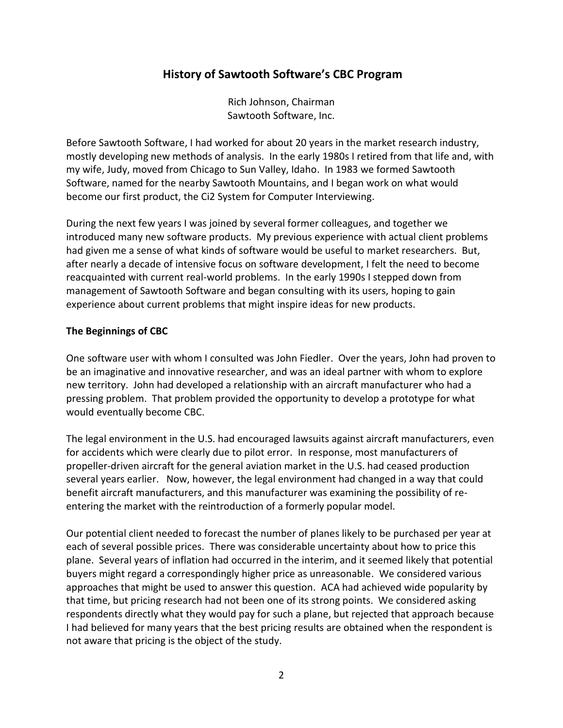# **History of Sawtooth Software's CBC Program**

Rich Johnson, Chairman Sawtooth Software, Inc.

Before Sawtooth Software, I had worked for about 20 years in the market research industry, mostly developing new methods of analysis. In the early 1980s I retired from that life and, with my wife, Judy, moved from Chicago to Sun Valley, Idaho. In 1983 we formed Sawtooth Software, named for the nearby Sawtooth Mountains, and I began work on what would become our first product, the Ci2 System for Computer Interviewing.

During the next few years I was joined by several former colleagues, and together we introduced many new software products. My previous experience with actual client problems had given me a sense of what kinds of software would be useful to market researchers. But, after nearly a decade of intensive focus on software development, I felt the need to become reacquainted with current real-world problems. In the early 1990s I stepped down from management of Sawtooth Software and began consulting with its users, hoping to gain experience about current problems that might inspire ideas for new products.

#### **The Beginnings of CBC**

One software user with whom I consulted was John Fiedler. Over the years, John had proven to be an imaginative and innovative researcher, and was an ideal partner with whom to explore new territory. John had developed a relationship with an aircraft manufacturer who had a pressing problem. That problem provided the opportunity to develop a prototype for what would eventually become CBC.

The legal environment in the U.S. had encouraged lawsuits against aircraft manufacturers, even for accidents which were clearly due to pilot error. In response, most manufacturers of propeller-driven aircraft for the general aviation market in the U.S. had ceased production several years earlier. Now, however, the legal environment had changed in a way that could benefit aircraft manufacturers, and this manufacturer was examining the possibility of reentering the market with the reintroduction of a formerly popular model.

Our potential client needed to forecast the number of planes likely to be purchased per year at each of several possible prices. There was considerable uncertainty about how to price this plane. Several years of inflation had occurred in the interim, and it seemed likely that potential buyers might regard a correspondingly higher price as unreasonable. We considered various approaches that might be used to answer this question. ACA had achieved wide popularity by that time, but pricing research had not been one of its strong points. We considered asking respondents directly what they would pay for such a plane, but rejected that approach because I had believed for many years that the best pricing results are obtained when the respondent is not aware that pricing is the object of the study.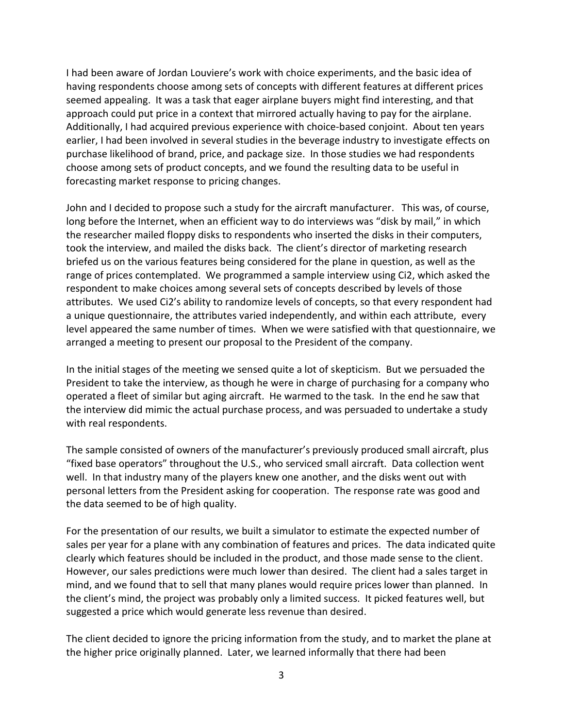I had been aware of Jordan Louviere's work with choice experiments, and the basic idea of having respondents choose among sets of concepts with different features at different prices seemed appealing. It was a task that eager airplane buyers might find interesting, and that approach could put price in a context that mirrored actually having to pay for the airplane. Additionally, I had acquired previous experience with choice-based conjoint. About ten years earlier, I had been involved in several studies in the beverage industry to investigate effects on purchase likelihood of brand, price, and package size. In those studies we had respondents choose among sets of product concepts, and we found the resulting data to be useful in forecasting market response to pricing changes.

John and I decided to propose such a study for the aircraft manufacturer. This was, of course, long before the Internet, when an efficient way to do interviews was "disk by mail," in which the researcher mailed floppy disks to respondents who inserted the disks in their computers, took the interview, and mailed the disks back. The client's director of marketing research briefed us on the various features being considered for the plane in question, as well as the range of prices contemplated. We programmed a sample interview using Ci2, which asked the respondent to make choices among several sets of concepts described by levels of those attributes. We used Ci2's ability to randomize levels of concepts, so that every respondent had a unique questionnaire, the attributes varied independently, and within each attribute, every level appeared the same number of times. When we were satisfied with that questionnaire, we arranged a meeting to present our proposal to the President of the company.

In the initial stages of the meeting we sensed quite a lot of skepticism. But we persuaded the President to take the interview, as though he were in charge of purchasing for a company who operated a fleet of similar but aging aircraft. He warmed to the task. In the end he saw that the interview did mimic the actual purchase process, and was persuaded to undertake a study with real respondents.

The sample consisted of owners of the manufacturer's previously produced small aircraft, plus "fixed base operators" throughout the U.S., who serviced small aircraft. Data collection went well. In that industry many of the players knew one another, and the disks went out with personal letters from the President asking for cooperation. The response rate was good and the data seemed to be of high quality.

For the presentation of our results, we built a simulator to estimate the expected number of sales per year for a plane with any combination of features and prices. The data indicated quite clearly which features should be included in the product, and those made sense to the client. However, our sales predictions were much lower than desired. The client had a sales target in mind, and we found that to sell that many planes would require prices lower than planned. In the client's mind, the project was probably only a limited success. It picked features well, but suggested a price which would generate less revenue than desired.

The client decided to ignore the pricing information from the study, and to market the plane at the higher price originally planned. Later, we learned informally that there had been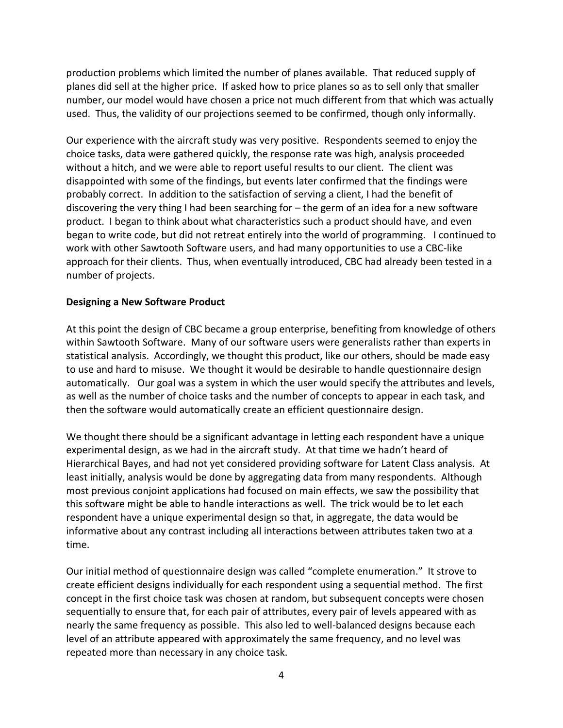production problems which limited the number of planes available. That reduced supply of planes did sell at the higher price. If asked how to price planes so as to sell only that smaller number, our model would have chosen a price not much different from that which was actually used. Thus, the validity of our projections seemed to be confirmed, though only informally.

Our experience with the aircraft study was very positive. Respondents seemed to enjoy the choice tasks, data were gathered quickly, the response rate was high, analysis proceeded without a hitch, and we were able to report useful results to our client. The client was disappointed with some of the findings, but events later confirmed that the findings were probably correct. In addition to the satisfaction of serving a client, I had the benefit of discovering the very thing I had been searching for – the germ of an idea for a new software product. I began to think about what characteristics such a product should have, and even began to write code, but did not retreat entirely into the world of programming. I continued to work with other Sawtooth Software users, and had many opportunities to use a CBC-like approach for their clients. Thus, when eventually introduced, CBC had already been tested in a number of projects.

#### **Designing a New Software Product**

At this point the design of CBC became a group enterprise, benefiting from knowledge of others within Sawtooth Software. Many of our software users were generalists rather than experts in statistical analysis. Accordingly, we thought this product, like our others, should be made easy to use and hard to misuse. We thought it would be desirable to handle questionnaire design automatically. Our goal was a system in which the user would specify the attributes and levels, as well as the number of choice tasks and the number of concepts to appear in each task, and then the software would automatically create an efficient questionnaire design.

We thought there should be a significant advantage in letting each respondent have a unique experimental design, as we had in the aircraft study. At that time we hadn't heard of Hierarchical Bayes, and had not yet considered providing software for Latent Class analysis. At least initially, analysis would be done by aggregating data from many respondents. Although most previous conjoint applications had focused on main effects, we saw the possibility that this software might be able to handle interactions as well. The trick would be to let each respondent have a unique experimental design so that, in aggregate, the data would be informative about any contrast including all interactions between attributes taken two at a time.

Our initial method of questionnaire design was called "complete enumeration." It strove to create efficient designs individually for each respondent using a sequential method. The first concept in the first choice task was chosen at random, but subsequent concepts were chosen sequentially to ensure that, for each pair of attributes, every pair of levels appeared with as nearly the same frequency as possible. This also led to well-balanced designs because each level of an attribute appeared with approximately the same frequency, and no level was repeated more than necessary in any choice task.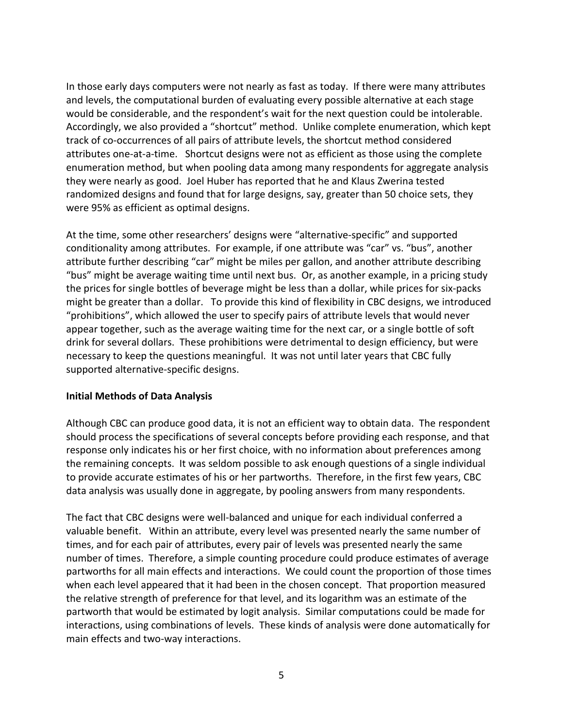In those early days computers were not nearly as fast as today. If there were many attributes and levels, the computational burden of evaluating every possible alternative at each stage would be considerable, and the respondent's wait for the next question could be intolerable. Accordingly, we also provided a "shortcut" method. Unlike complete enumeration, which kept track of co-occurrences of all pairs of attribute levels, the shortcut method considered attributes one-at-a-time. Shortcut designs were not as efficient as those using the complete enumeration method, but when pooling data among many respondents for aggregate analysis they were nearly as good. Joel Huber has reported that he and Klaus Zwerina tested randomized designs and found that for large designs, say, greater than 50 choice sets, they were 95% as efficient as optimal designs.

At the time, some other researchers' designs were "alternative-specific" and supported conditionality among attributes. For example, if one attribute was "car" vs. "bus", another attribute further describing "car" might be miles per gallon, and another attribute describing "bus" might be average waiting time until next bus. Or, as another example, in a pricing study the prices for single bottles of beverage might be less than a dollar, while prices for six-packs might be greater than a dollar. To provide this kind of flexibility in CBC designs, we introduced "prohibitions", which allowed the user to specify pairs of attribute levels that would never appear together, such as the average waiting time for the next car, or a single bottle of soft drink for several dollars. These prohibitions were detrimental to design efficiency, but were necessary to keep the questions meaningful. It was not until later years that CBC fully supported alternative-specific designs.

#### **Initial Methods of Data Analysis**

Although CBC can produce good data, it is not an efficient way to obtain data. The respondent should process the specifications of several concepts before providing each response, and that response only indicates his or her first choice, with no information about preferences among the remaining concepts. It was seldom possible to ask enough questions of a single individual to provide accurate estimates of his or her partworths. Therefore, in the first few years, CBC data analysis was usually done in aggregate, by pooling answers from many respondents.

The fact that CBC designs were well-balanced and unique for each individual conferred a valuable benefit. Within an attribute, every level was presented nearly the same number of times, and for each pair of attributes, every pair of levels was presented nearly the same number of times. Therefore, a simple counting procedure could produce estimates of average partworths for all main effects and interactions. We could count the proportion of those times when each level appeared that it had been in the chosen concept. That proportion measured the relative strength of preference for that level, and its logarithm was an estimate of the partworth that would be estimated by logit analysis. Similar computations could be made for interactions, using combinations of levels. These kinds of analysis were done automatically for main effects and two-way interactions.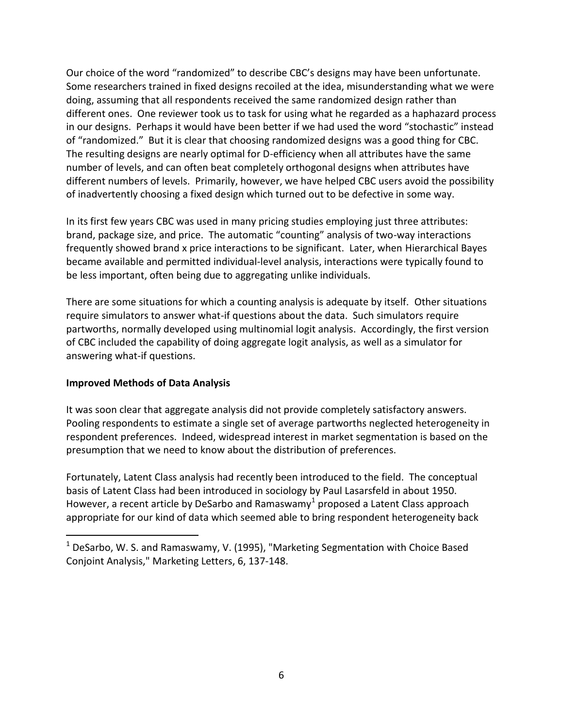Our choice of the word "randomized" to describe CBC's designs may have been unfortunate. Some researchers trained in fixed designs recoiled at the idea, misunderstanding what we were doing, assuming that all respondents received the same randomized design rather than different ones. One reviewer took us to task for using what he regarded as a haphazard process in our designs. Perhaps it would have been better if we had used the word "stochastic" instead of "randomized." But it is clear that choosing randomized designs was a good thing for CBC. The resulting designs are nearly optimal for D-efficiency when all attributes have the same number of levels, and can often beat completely orthogonal designs when attributes have different numbers of levels. Primarily, however, we have helped CBC users avoid the possibility of inadvertently choosing a fixed design which turned out to be defective in some way.

In its first few years CBC was used in many pricing studies employing just three attributes: brand, package size, and price. The automatic "counting" analysis of two-way interactions frequently showed brand x price interactions to be significant. Later, when Hierarchical Bayes became available and permitted individual-level analysis, interactions were typically found to be less important, often being due to aggregating unlike individuals.

There are some situations for which a counting analysis is adequate by itself. Other situations require simulators to answer what-if questions about the data. Such simulators require partworths, normally developed using multinomial logit analysis. Accordingly, the first version of CBC included the capability of doing aggregate logit analysis, as well as a simulator for answering what-if questions.

# **Improved Methods of Data Analysis**

 $\overline{a}$ 

It was soon clear that aggregate analysis did not provide completely satisfactory answers. Pooling respondents to estimate a single set of average partworths neglected heterogeneity in respondent preferences. Indeed, widespread interest in market segmentation is based on the presumption that we need to know about the distribution of preferences.

Fortunately, Latent Class analysis had recently been introduced to the field. The conceptual basis of Latent Class had been introduced in sociology by Paul Lasarsfeld in about 1950. However, a recent article by DeSarbo and Ramaswamy<sup>1</sup> proposed a Latent Class approach appropriate for our kind of data which seemed able to bring respondent heterogeneity back

 $1$  DeSarbo, W. S. and Ramaswamy, V. (1995), "Marketing Segmentation with Choice Based Conjoint Analysis," Marketing Letters, 6, 137-148.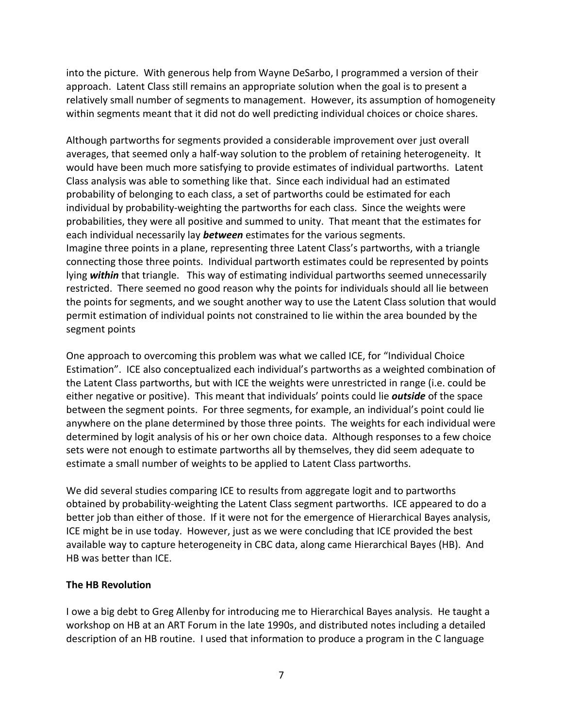into the picture. With generous help from Wayne DeSarbo, I programmed a version of their approach. Latent Class still remains an appropriate solution when the goal is to present a relatively small number of segments to management. However, its assumption of homogeneity within segments meant that it did not do well predicting individual choices or choice shares.

Although partworths for segments provided a considerable improvement over just overall averages, that seemed only a half-way solution to the problem of retaining heterogeneity. It would have been much more satisfying to provide estimates of individual partworths. Latent Class analysis was able to something like that. Since each individual had an estimated probability of belonging to each class, a set of partworths could be estimated for each individual by probability-weighting the partworths for each class. Since the weights were probabilities, they were all positive and summed to unity. That meant that the estimates for each individual necessarily lay *between* estimates for the various segments. Imagine three points in a plane, representing three Latent Class's partworths, with a triangle connecting those three points. Individual partworth estimates could be represented by points lying *within* that triangle. This way of estimating individual partworths seemed unnecessarily restricted. There seemed no good reason why the points for individuals should all lie between the points for segments, and we sought another way to use the Latent Class solution that would permit estimation of individual points not constrained to lie within the area bounded by the segment points

One approach to overcoming this problem was what we called ICE, for "Individual Choice Estimation". ICE also conceptualized each individual's partworths as a weighted combination of the Latent Class partworths, but with ICE the weights were unrestricted in range (i.e. could be either negative or positive). This meant that individuals' points could lie *outside* of the space between the segment points. For three segments, for example, an individual's point could lie anywhere on the plane determined by those three points. The weights for each individual were determined by logit analysis of his or her own choice data. Although responses to a few choice sets were not enough to estimate partworths all by themselves, they did seem adequate to estimate a small number of weights to be applied to Latent Class partworths.

We did several studies comparing ICE to results from aggregate logit and to partworths obtained by probability-weighting the Latent Class segment partworths. ICE appeared to do a better job than either of those. If it were not for the emergence of Hierarchical Bayes analysis, ICE might be in use today. However, just as we were concluding that ICE provided the best available way to capture heterogeneity in CBC data, along came Hierarchical Bayes (HB). And HB was better than ICE.

#### **The HB Revolution**

I owe a big debt to Greg Allenby for introducing me to Hierarchical Bayes analysis. He taught a workshop on HB at an ART Forum in the late 1990s, and distributed notes including a detailed description of an HB routine. I used that information to produce a program in the C language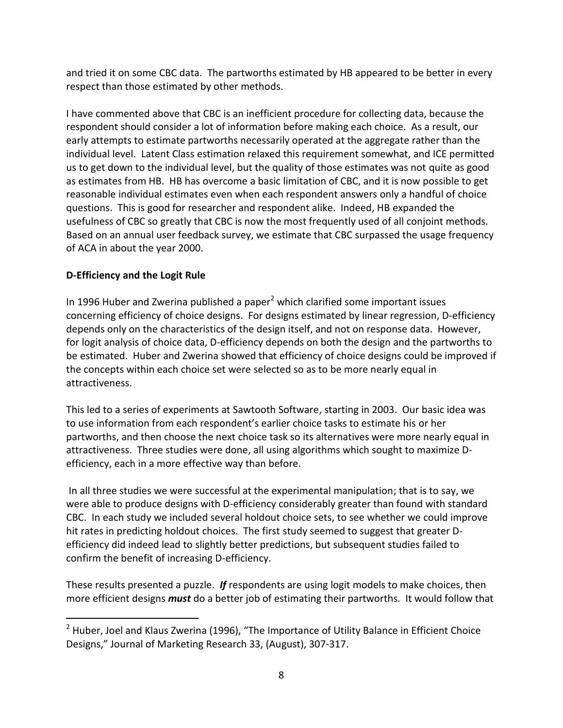and tried it on some CBC data. The partworths estimated by HB appeared to be better in every respect than those estimated by other methods.

I have commented above that CBC is an inefficient procedure for collecting data, because the respondent should consider a lot of information before making each choice. As a result, our early attempts to estimate partworths necessarily operated at the aggregate rather than the individual level. Latent Class estimation relaxed this requirement somewhat, and ICE permitted us to get down to the individual level, but the quality of those estimates was not quite as good as estimates from HB. HB has overcome a basic limitation of CBC, and it is now possible to get reasonable individual estimates even when each respondent answers only a handful of choice questions. This is good for researcher and respondent alike. Indeed, HB expanded the usefulness of CBC so greatly that CBC is now the most frequently used of all conjoint methods. Based on an annual user feedback survey, we estimate that CBC surpassed the usage frequency of ACA in about the year 2000.

# **D-Efficiency and the Logit Rule**

 $\overline{a}$ 

In 1996 Huber and Zwerina published a paper $<sup>2</sup>$  which clarified some important issues</sup> concerning efficiency of choice designs. For designs estimated by linear regression, D-efficiency depends only on the characteristics of the design itself, and not on response data. However, for logit analysis of choice data, D-efficiency depends on both the design and the partworths to be estimated. Huber and Zwerina showed that efficiency of choice designs could be improved if the concepts within each choice set were selected so as to be more nearly equal in attractiveness.

This led to a series of experiments at Sawtooth Software, starting in 2003. Our basic idea was to use information from each respondent's earlier choice tasks to estimate his or her partworths, and then choose the next choice task so its alternatives were more nearly equal in attractiveness. Three studies were done, all using algorithms which sought to maximize Defficiency, each in a more effective way than before.

In all three studies we were successful at the experimental manipulation; that is to say, we were able to produce designs with D-efficiency considerably greater than found with standard CBC. In each study we included several holdout choice sets, to see whether we could improve hit rates in predicting holdout choices. The first study seemed to suggest that greater Defficiency did indeed lead to slightly better predictions, but subsequent studies failed to confirm the benefit of increasing D-efficiency.

These results presented a puzzle. *If* respondents are using logit models to make choices, then more efficient designs *must* do a better job of estimating their partworths. It would follow that

 $2$  Huber, Joel and Klaus Zwerina (1996), "The Importance of Utility Balance in Efficient Choice Designs," Journal of Marketing Research 33, (August), 307-317.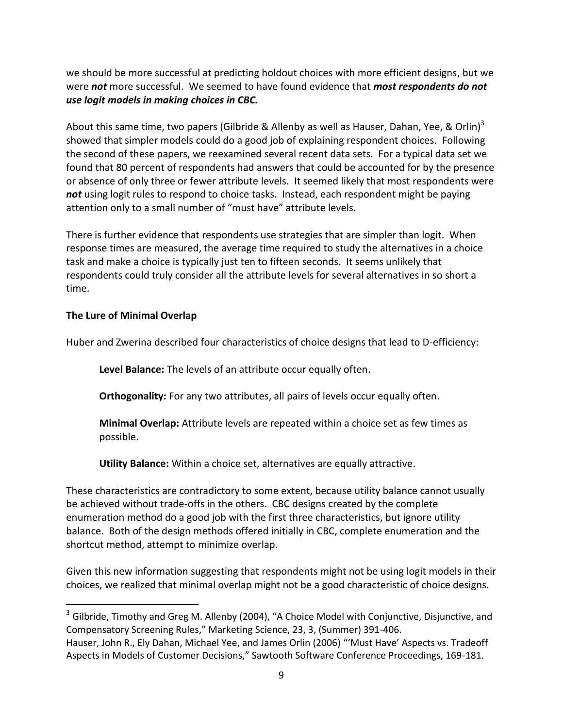we should be more successful at predicting holdout choices with more efficient designs, but we were *not* more successful. We seemed to have found evidence that *most respondents do not use logit models in making choices in CBC.*

About this same time, two papers (Gilbride & Allenby as well as Hauser, Dahan, Yee, & Orlin)<sup>3</sup> showed that simpler models could do a good job of explaining respondent choices. Following the second of these papers, we reexamined several recent data sets. For a typical data set we found that 80 percent of respondents had answers that could be accounted for by the presence or absence of only three or fewer attribute levels. It seemed likely that most respondents were *not* using logit rules to respond to choice tasks. Instead, each respondent might be paying attention only to a small number of "must have" attribute levels.

There is further evidence that respondents use strategies that are simpler than logit. When response times are measured, the average time required to study the alternatives in a choice task and make a choice is typically just ten to fifteen seconds. It seems unlikely that respondents could truly consider all the attribute levels for several alternatives in so short a time.

## **The Lure of Minimal Overlap**

 $\overline{a}$ 

Huber and Zwerina described four characteristics of choice designs that lead to D-efficiency:

**Level Balance:** The levels of an attribute occur equally often.

**Orthogonality:** For any two attributes, all pairs of levels occur equally often.

**Minimal Overlap:** Attribute levels are repeated within a choice set as few times as possible.

**Utility Balance:** Within a choice set, alternatives are equally attractive.

These characteristics are contradictory to some extent, because utility balance cannot usually be achieved without trade-offs in the others. CBC designs created by the complete enumeration method do a good job with the first three characteristics, but ignore utility balance. Both of the design methods offered initially in CBC, complete enumeration and the shortcut method, attempt to minimize overlap.

Given this new information suggesting that respondents might not be using logit models in their choices, we realized that minimal overlap might not be a good characteristic of choice designs.

 $3$  Gilbride, Timothy and Greg M. Allenby (2004), "A Choice Model with Conjunctive, Disjunctive, and Compensatory Screening Rules," Marketing Science, 23, 3, (Summer) 391-406.

Hauser, John R., Ely Dahan, Michael Yee, and James Orlin (2006) "'Must Have' Aspects vs. Tradeoff Aspects in Models of Customer Decisions," Sawtooth Software Conference Proceedings, 169-181.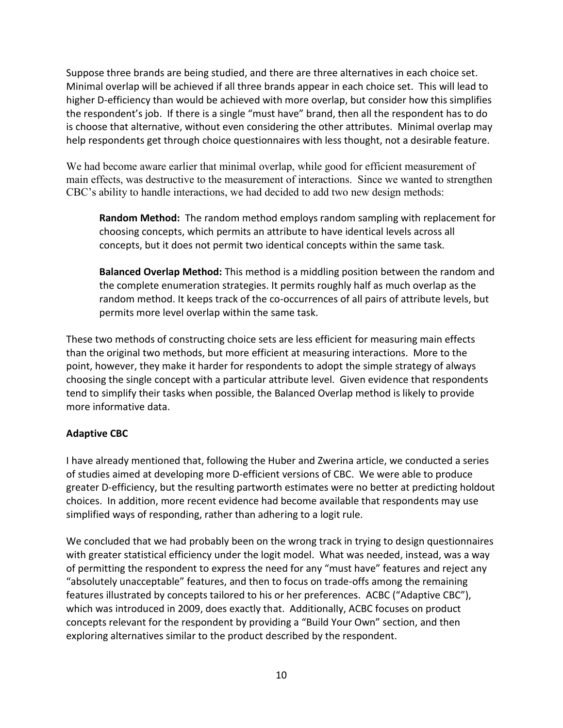Suppose three brands are being studied, and there are three alternatives in each choice set. Minimal overlap will be achieved if all three brands appear in each choice set. This will lead to higher D-efficiency than would be achieved with more overlap, but consider how this simplifies the respondent's job. If there is a single "must have" brand, then all the respondent has to do is choose that alternative, without even considering the other attributes. Minimal overlap may help respondents get through choice questionnaires with less thought, not a desirable feature.

We had become aware earlier that minimal overlap, while good for efficient measurement of main effects, was destructive to the measurement of interactions. Since we wanted to strengthen CBC's ability to handle interactions, we had decided to add two new design methods:

**Random Method:** The random method employs random sampling with replacement for choosing concepts, which permits an attribute to have identical levels across all concepts, but it does not permit two identical concepts within the same task.

**Balanced Overlap Method:** This method is a middling position between the random and the complete enumeration strategies. It permits roughly half as much overlap as the random method. It keeps track of the co-occurrences of all pairs of attribute levels, but permits more level overlap within the same task.

These two methods of constructing choice sets are less efficient for measuring main effects than the original two methods, but more efficient at measuring interactions. More to the point, however, they make it harder for respondents to adopt the simple strategy of always choosing the single concept with a particular attribute level. Given evidence that respondents tend to simplify their tasks when possible, the Balanced Overlap method is likely to provide more informative data.

# **Adaptive CBC**

I have already mentioned that, following the Huber and Zwerina article, we conducted a series of studies aimed at developing more D-efficient versions of CBC. We were able to produce greater D-efficiency, but the resulting partworth estimates were no better at predicting holdout choices. In addition, more recent evidence had become available that respondents may use simplified ways of responding, rather than adhering to a logit rule.

We concluded that we had probably been on the wrong track in trying to design questionnaires with greater statistical efficiency under the logit model. What was needed, instead, was a way of permitting the respondent to express the need for any "must have" features and reject any "absolutely unacceptable" features, and then to focus on trade-offs among the remaining features illustrated by concepts tailored to his or her preferences. ACBC ("Adaptive CBC"), which was introduced in 2009, does exactly that. Additionally, ACBC focuses on product concepts relevant for the respondent by providing a "Build Your Own" section, and then exploring alternatives similar to the product described by the respondent.